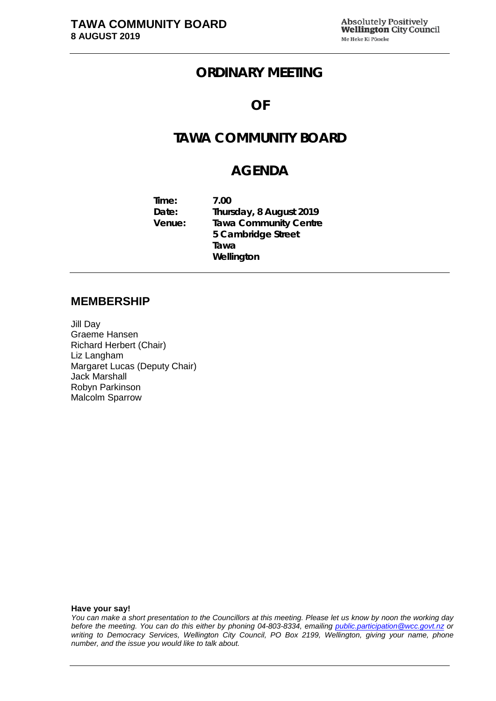# **ORDINARY MEETING**

## **OF**

# **TAWA COMMUNITY BOARD**

## **AGENDA**

**Time: 7.00 Date: Thursday, 8 August 2019 Venue: Tawa Community Centre 5 Cambridge Street Tawa Wellington**

#### **MEMBERSHIP**

Jill Day Graeme Hansen Richard Herbert (Chair) Liz Langham Margaret Lucas (Deputy Chair) Jack Marshall Robyn Parkinson Malcolm Sparrow

**Have your say!**

*You can make a short presentation to the Councillors at this meeting. Please let us know by noon the working day before the meeting. You can do this either by phoning 04-803-8334, emailing public.participation@wcc.govt.nz or writing to Democracy Services, Wellington City Council, PO Box 2199, Wellington, giving your name, phone number, and the issue you would like to talk about.*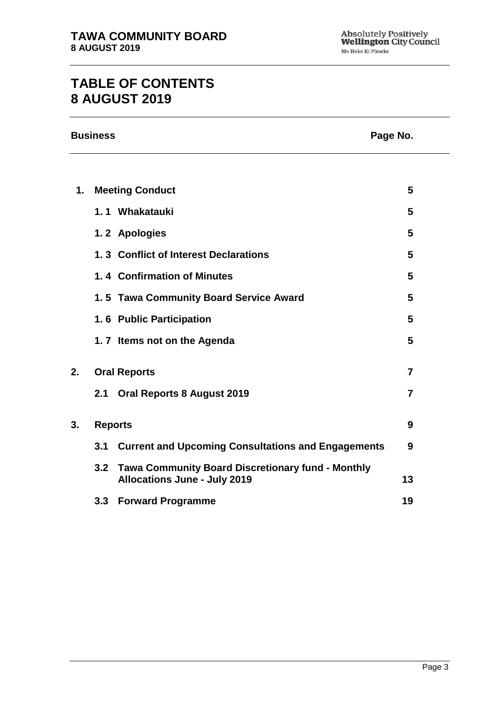# **TABLE OF CONTENTS 8 AUGUST 2019**

| <b>Business</b> | Page No. |
|-----------------|----------|
|                 |          |

| Page No. |  |
|----------|--|
|          |  |

| $\mathbf 1$ . |     | <b>Meeting Conduct</b>                                                                          | 5              |
|---------------|-----|-------------------------------------------------------------------------------------------------|----------------|
|               |     | 1.1 Whakatauki                                                                                  | 5              |
|               |     | 1.2 Apologies                                                                                   | 5              |
|               |     | 1.3 Conflict of Interest Declarations                                                           | 5              |
|               |     | 1.4 Confirmation of Minutes                                                                     | 5              |
|               |     | 1.5 Tawa Community Board Service Award                                                          | 5              |
|               |     | 1.6 Public Participation                                                                        | 5              |
|               |     | 1.7 Items not on the Agenda                                                                     | 5              |
| 2.            |     | <b>Oral Reports</b>                                                                             | $\overline{7}$ |
|               |     | 2.1 Oral Reports 8 August 2019                                                                  | 7              |
| 3.            |     | <b>Reports</b>                                                                                  | 9              |
|               |     | 3.1 Current and Upcoming Consultations and Engagements                                          | 9              |
|               | 3.2 | <b>Tawa Community Board Discretionary fund - Monthly</b><br><b>Allocations June - July 2019</b> | 13             |
|               | 3.3 | <b>Forward Programme</b>                                                                        | 19             |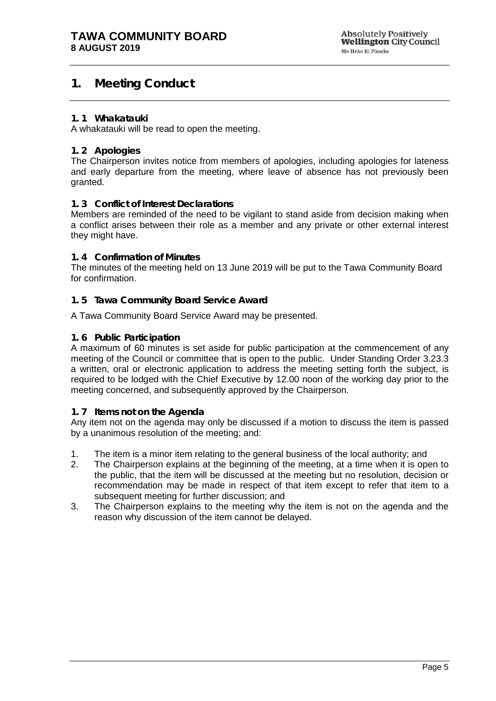## <span id="page-4-0"></span>**1. Meeting Conduct**

#### **1. 1 Whakatauki**

A whakatauki will be read to open the meeting.

#### <span id="page-4-1"></span>**1. 2 Apologies**

The Chairperson invites notice from members of apologies, including apologies for lateness and early departure from the meeting, where leave of absence has not previously been granted.

#### <span id="page-4-2"></span>**1. 3 Conflict of Interest Declarations**

Members are reminded of the need to be vigilant to stand aside from decision making when a conflict arises between their role as a member and any private or other external interest they might have.

#### <span id="page-4-3"></span>**1. 4 Confirmation of Minutes**

The minutes of the meeting held on 13 June 2019 will be put to the Tawa Community Board for confirmation.

#### <span id="page-4-4"></span>**1. 5 Tawa Community Board Service Award**

A Tawa Community Board Service Award may be presented.

#### <span id="page-4-6"></span>**1. 6 Public Participation**

A maximum of 60 minutes is set aside for public participation at the commencement of any meeting of the Council or committee that is open to the public. Under Standing Order 3.23.3 a written, oral or electronic application to address the meeting setting forth the subject, is required to be lodged with the Chief Executive by 12.00 noon of the working day prior to the meeting concerned, and subsequently approved by the Chairperson.

#### <span id="page-4-5"></span>**1. 7 Items not on the Agenda**

Any item not on the agenda may only be discussed if a motion to discuss the item is passed by a unanimous resolution of the meeting; and:

- 1. The item is a minor item relating to the general business of the local authority; and
- 2. The Chairperson explains at the beginning of the meeting, at a time when it is open to the public, that the item will be discussed at the meeting but no resolution, decision or recommendation may be made in respect of that item except to refer that item to a subsequent meeting for further discussion; and
- 3. The Chairperson explains to the meeting why the item is not on the agenda and the reason why discussion of the item cannot be delayed.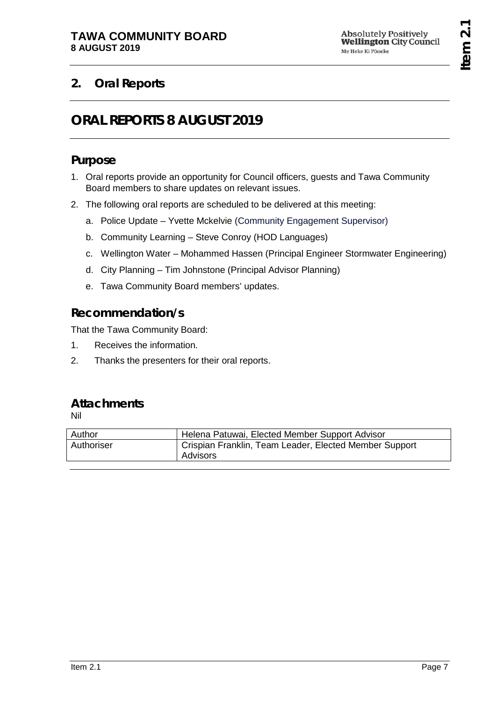# <span id="page-6-1"></span><span id="page-6-0"></span>**2. Oral Reports**

# **ORAL REPORTS 8 AUGUST 2019**

# **Purpose**

- 1. Oral reports provide an opportunity for Council officers, guests and Tawa Community Board members to share updates on relevant issues.
- 2. The following oral reports are scheduled to be delivered at this meeting:
	- a. Police Update Yvette Mckelvie (Community Engagement Supervisor)
	- b. Community Learning Steve Conroy (HOD Languages)
	- c. Wellington Water Mohammed Hassen (Principal Engineer Stormwater Engineering)
	- d. City Planning Tim Johnstone (Principal Advisor Planning)
	- e. Tawa Community Board members' updates.

# **Recommendation/s**

That the Tawa Community Board:

- 1. Receives the information.
- 2. Thanks the presenters for their oral reports.

# **Attachments**

Nil

| Author     | Helena Patuwai, Elected Member Support Advisor                     |
|------------|--------------------------------------------------------------------|
| Authoriser | Crispian Franklin, Team Leader, Elected Member Support<br>Advisors |
|            |                                                                    |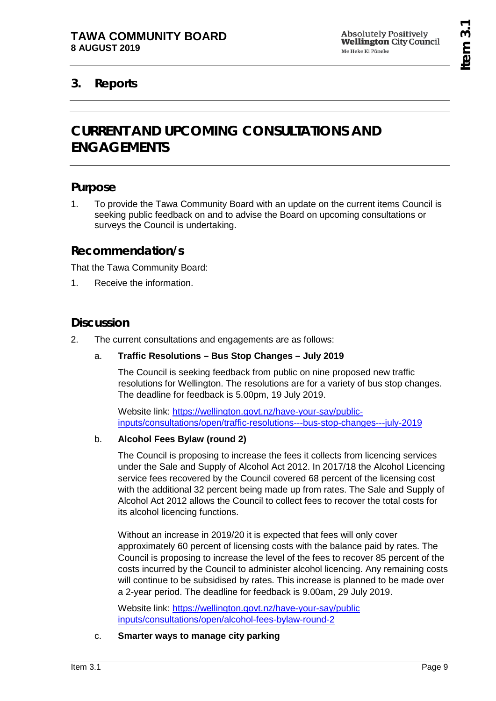# <span id="page-8-1"></span><span id="page-8-0"></span>**3. Reports**

# **CURRENT AND UPCOMING CONSULTATIONS AND ENGAGEMENTS**

## **Purpose**

1. To provide the Tawa Community Board with an update on the current items Council is seeking public feedback on and to advise the Board on upcoming consultations or surveys the Council is undertaking.

## **Recommendation/s**

That the Tawa Community Board:

1. Receive the information.

## **Discussion**

2. The current consultations and engagements are as follows:

#### a. **Traffic Resolutions – Bus Stop Changes – July 2019**

The Council is seeking feedback from public on nine proposed new traffic resolutions for Wellington. The resolutions are for a variety of bus stop changes. The deadline for feedback is 5.00pm, 19 July 2019.

Website link: [https://wellington.govt.nz/have-your-say/public](https://wellington.govt.nz/have-your-say/public-inputs/consultations/open/traffic-resolutions---bus-stop-changes---july-2019)[inputs/consultations/open/traffic-resolutions---bus-stop-changes---july-2019](https://wellington.govt.nz/have-your-say/public-inputs/consultations/open/traffic-resolutions---bus-stop-changes---july-2019)

#### b. **Alcohol Fees Bylaw (round 2)**

The Council is proposing to increase the fees it collects from licencing services under the Sale and Supply of Alcohol Act 2012. In 2017/18 the Alcohol Licencing service fees recovered by the Council covered 68 percent of the licensing cost with the additional 32 percent being made up from rates. The Sale and Supply of Alcohol Act 2012 allows the Council to collect fees to recover the total costs for its alcohol licencing functions.

Without an increase in 2019/20 it is expected that fees will only cover approximately 60 percent of licensing costs with the balance paid by rates. The Council is proposing to increase the level of the fees to recover 85 percent of the costs incurred by the Council to administer alcohol licencing. Any remaining costs will continue to be subsidised by rates. This increase is planned to be made over a 2-year period. The deadline for feedback is 9.00am, 29 July 2019.

Website link: [https://wellington.govt.nz/have-your-say/public](https://wellington.govt.nz/have-your-say/public%20inputs/consultations/open/alcohol-fees-bylaw-round-2)  [inputs/consultations/open/alcohol-fees-bylaw-round-2](https://wellington.govt.nz/have-your-say/public%20inputs/consultations/open/alcohol-fees-bylaw-round-2)

c. **Smarter ways to manage city parking**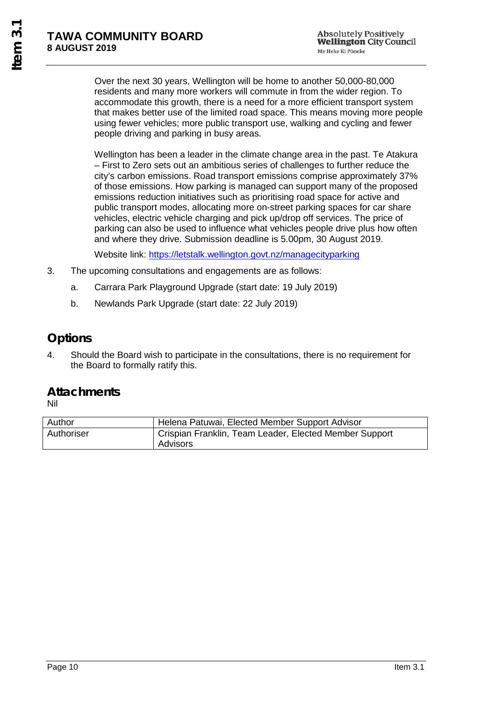Over the next 30 years, Wellington will be home to another 50,000-80,000 residents and many more workers will commute in from the wider region. To accommodate this growth, there is a need for a more efficient transport system that makes better use of the limited road space. This means moving more people using fewer vehicles; more public transport use, walking and cycling and fewer people driving and parking in busy areas.

Wellington has been a leader in the climate change area in the past. Te Atakura – First to Zero sets out an ambitious series of challenges to further reduce the city's carbon emissions. Road transport emissions comprise approximately 37% of those emissions. How parking is managed can support many of the proposed emissions reduction initiatives such as prioritising road space for active and public transport modes, allocating more on-street parking spaces for car share vehicles, electric vehicle charging and pick up/drop off services. The price of parking can also be used to influence what vehicles people drive plus how often and where they drive. Submission deadline is 5.00pm, 30 August 2019.

Website link:<https://letstalk.wellington.govt.nz/managecityparking>

- 3. The upcoming consultations and engagements are as follows:
	- a. Carrara Park Playground Upgrade (start date: 19 July 2019)
	- b. Newlands Park Upgrade (start date: 22 July 2019)

# **Options**

4. Should the Board wish to participate in the consultations, there is no requirement for the Board to formally ratify this.

## **Attachments**

Nil

| Author     | Helena Patuwai, Elected Member Support Advisor                     |
|------------|--------------------------------------------------------------------|
| Authoriser | Crispian Franklin, Team Leader, Elected Member Support<br>Advisors |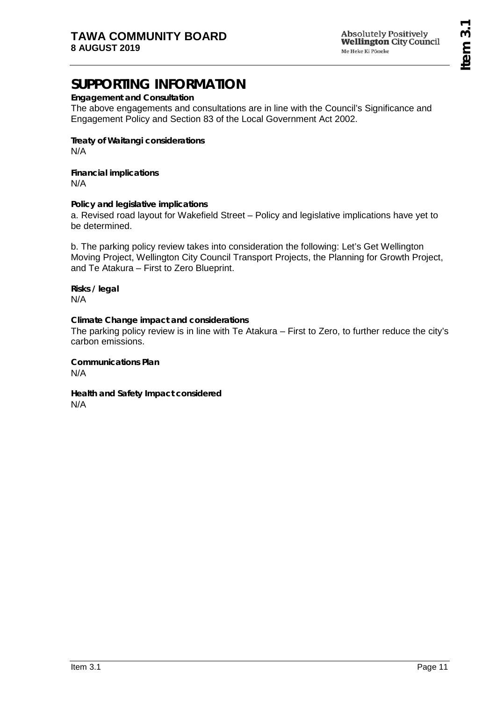Absolutely Positively<br>**Wellington** City Council Me Heke Ki Põneke

# **SUPPORTING INFORMATION**

**Engagement and Consultation**

The above engagements and consultations are in line with the Council's Significance and Engagement Policy and Section 83 of the Local Government Act 2002.

**Treaty of Waitangi considerations** N/A

**Financial implications** N/A

**Policy and legislative implications** a. Revised road layout for Wakefield Street – Policy and legislative implications have yet to be determined.

b. The parking policy review takes into consideration the following: Let's Get Wellington Moving Project, Wellington City Council Transport Projects, the Planning for Growth Project, and Te Atakura – First to Zero Blueprint.

**Risks / legal**  N/A

**Climate Change impact and considerations** The parking policy review is in line with Te Atakura – First to Zero, to further reduce the city's carbon emissions.

**Communications Plan** N/A

**Health and Safety Impact considered** N/A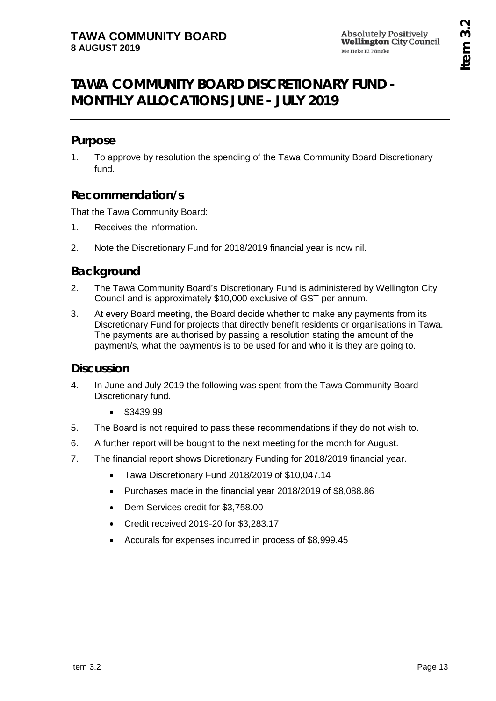# <span id="page-12-0"></span>**TAWA COMMUNITY BOARD DISCRETIONARY FUND - MONTHLY ALLOCATIONS JUNE - JULY 2019**

## **Purpose**

1. To approve by resolution the spending of the Tawa Community Board Discretionary fund.

## **Recommendation/s**

That the Tawa Community Board:

- 1. Receives the information.
- 2. Note the Discretionary Fund for 2018/2019 financial year is now nil.

## **Background**

- 2. The Tawa Community Board's Discretionary Fund is administered by Wellington City Council and is approximately \$10,000 exclusive of GST per annum.
- 3. At every Board meeting, the Board decide whether to make any payments from its Discretionary Fund for projects that directly benefit residents or organisations in Tawa. The payments are authorised by passing a resolution stating the amount of the payment/s, what the payment/s is to be used for and who it is they are going to.

## **Discussion**

- 4. In June and July 2019 the following was spent from the Tawa Community Board Discretionary fund.
	- \$3439.99
- 5. The Board is not required to pass these recommendations if they do not wish to.
- 6. A further report will be bought to the next meeting for the month for August.
- 7. The financial report shows Dicretionary Funding for 2018/2019 financial year.
	- Tawa Discretionary Fund 2018/2019 of \$10,047.14
	- Purchases made in the financial year 2018/2019 of \$8,088.86
	- Dem Services credit for \$3,758.00
	- Credit received 2019-20 for \$3,283.17
	- Accurals for expenses incurred in process of \$8,999.45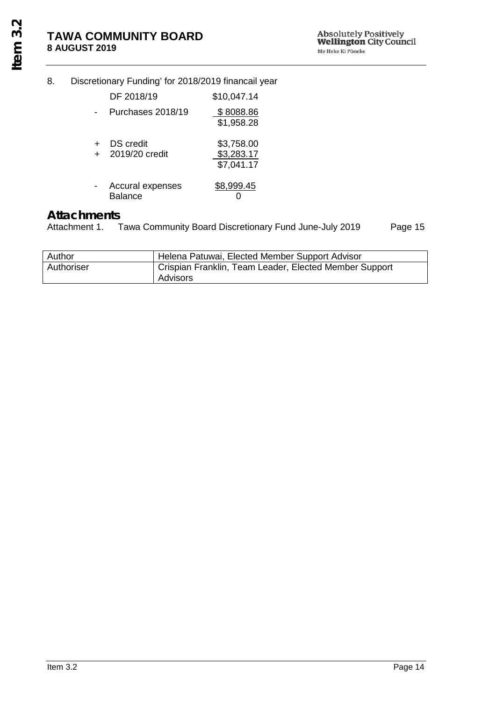## 8. Discretionary Funding' for 2018/2019 financail year

|     | DF 2018/19                         | \$10,047.14                            |
|-----|------------------------------------|----------------------------------------|
|     | Purchases 2018/19                  | \$8088.86<br>\$1,958.28                |
| $+$ | <b>DS</b> credit<br>2019/20 credit | \$3,758.00<br>\$3,283.17<br>\$7,041.17 |
|     | Accural expenses<br><b>Balance</b> | \$8,999.45                             |

# Attachments<br>Attachment 1.

Tawa Community Board Discretionary Fund June-July 2019 Page 15

| Author     | Helena Patuwai, Elected Member Support Advisor                     |
|------------|--------------------------------------------------------------------|
| Authoriser | Crispian Franklin, Team Leader, Elected Member Support<br>Advisors |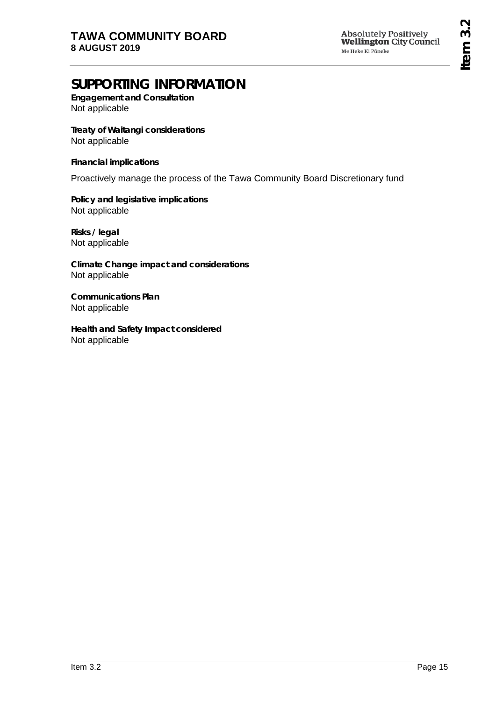# **SUPPORTING INFORMATION**

**Engagement and Consultation** Not applicable

**Treaty of Waitangi considerations** Not applicable

**Financial implications**

Proactively manage the process of the Tawa Community Board Discretionary fund

**Policy and legislative implications** Not applicable

**Risks / legal**  Not applicable

**Climate Change impact and considerations** Not applicable

**Communications Plan** Not applicable

**Health and Safety Impact considered** Not applicable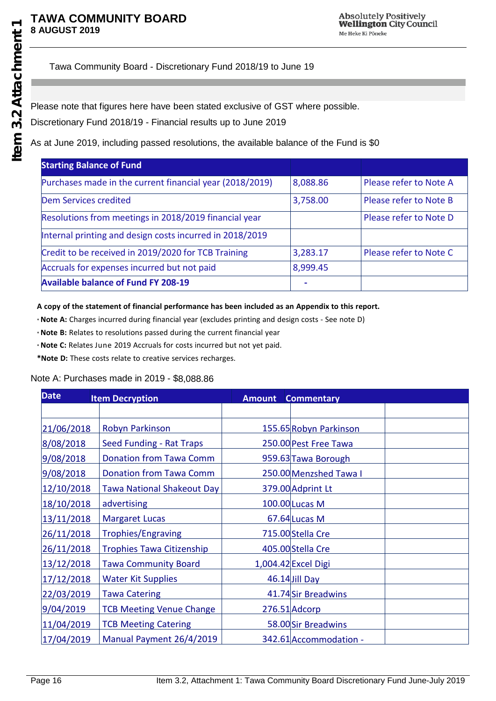Tawa Community Board - Discretionary Fund 2018/19 to June 19

Please note that figures here have been stated exclusive of GST where possible.

Discretionary Fund 2018/19 - Financial results up to June 2019

As at June 2019, including passed resolutions, the available balance of the Fund is \$0

| <b>Starting Balance of Fund</b>                          |          |                        |
|----------------------------------------------------------|----------|------------------------|
| Purchases made in the current financial year (2018/2019) | 8,088.86 | Please refer to Note A |
| Dem Services credited                                    | 3,758.00 | Please refer to Note B |
| Resolutions from meetings in 2018/2019 financial year    |          | Please refer to Note D |
| Internal printing and design costs incurred in 2018/2019 |          |                        |
| Credit to be received in 2019/2020 for TCB Training      | 3,283.17 | Please refer to Note C |
| Accruals for expenses incurred but not paid              | 8,999.45 |                        |
| <b>Available balance of Fund FY 208-19</b>               | ۰        |                        |

**A copy of the statement of financial performance has been included as an Appendix to this report.**

\***Note A:** Charges incurred during financial year (excludes printing and design costs - See note D)

\***Note B:** Relates to resolutions passed during the current financial year

\***Note C:** Relates June 2019 Accruals for costs incurred but not yet paid.

**\*Note D:** These costs relate to creative services recharges.

#### Note A: Purchases made in 2019 - \$8,088.86

| <b>Date</b> | <b>Item Decryption</b>            | <b>Amount</b> | <b>Commentary</b>      |  |
|-------------|-----------------------------------|---------------|------------------------|--|
|             |                                   |               |                        |  |
| 21/06/2018  | Robyn Parkinson                   |               | 155.65 Robyn Parkinson |  |
| 8/08/2018   | <b>Seed Funding - Rat Traps</b>   |               | 250.00 Pest Free Tawa  |  |
| 9/08/2018   | <b>Donation from Tawa Comm</b>    |               | 959.63 Tawa Borough    |  |
| 9/08/2018   | <b>Donation from Tawa Comm</b>    |               | 250.00 Menzshed Tawa I |  |
| 12/10/2018  | <b>Tawa National Shakeout Day</b> |               | 379.00 Adprint Lt      |  |
| 18/10/2018  | advertising                       |               | 100.00 Lucas M         |  |
| 13/11/2018  | <b>Margaret Lucas</b>             |               | $67.64$ Lucas M        |  |
| 26/11/2018  | <b>Trophies/Engraving</b>         |               | 715.00 Stella Cre      |  |
| 26/11/2018  | <b>Trophies Tawa Citizenship</b>  |               | 405.00 Stella Cre      |  |
| 13/12/2018  | <b>Tawa Community Board</b>       |               | 1,004.42 Excel Digi    |  |
| 17/12/2018  | <b>Water Kit Supplies</b>         |               | 46.14 Jill Day         |  |
| 22/03/2019  | <b>Tawa Catering</b>              |               | 41.74 Sir Breadwins    |  |
| 9/04/2019   | <b>TCB Meeting Venue Change</b>   |               | 276.51 Adcorp          |  |
| 11/04/2019  | <b>TCB Meeting Catering</b>       |               | 58.00 Sir Breadwins    |  |
| 17/04/2019  | Manual Payment 26/4/2019          |               | 342.61 Accommodation - |  |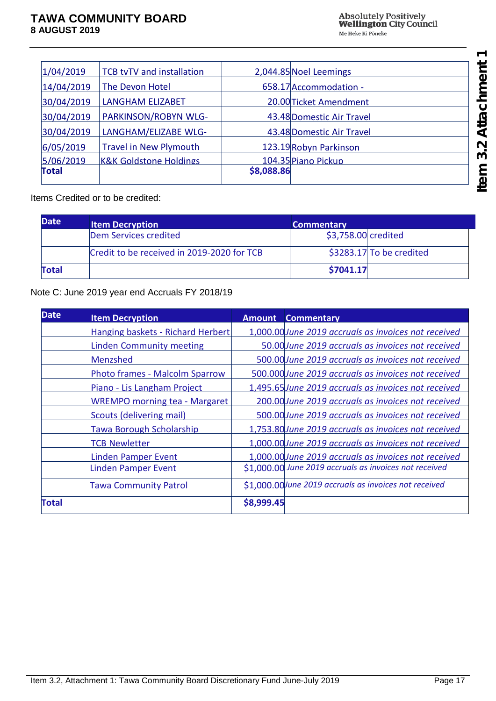| 1/04/2019    | TCB tvTV and installation         |            | 2,044.85 Noel Leemings    |  |
|--------------|-----------------------------------|------------|---------------------------|--|
|              |                                   |            |                           |  |
| 14/04/2019   | The Devon Hotel                   |            | 658.17 Accommodation -    |  |
| 30/04/2019   | <b>LANGHAM ELIZABET</b>           |            | 20.00 Ticket Amendment    |  |
| 30/04/2019   | PARKINSON/ROBYN WLG-              |            | 43.48 Domestic Air Travel |  |
| 30/04/2019   | LANGHAM/ELIZABE WLG-              |            | 43.48 Domestic Air Travel |  |
| 6/05/2019    | <b>Travel in New Plymouth</b>     |            | 123.19 Robyn Parkinson    |  |
| 5/06/2019    | <b>K&amp;K Goldstone Holdings</b> |            | 104.35 Piano Pickup       |  |
| <b>Total</b> |                                   | \$8,088.86 |                           |  |
|              |                                   |            |                           |  |

Items Credited or to be credited:

| <b>Date</b>  | <b>Item Decryption</b>                     | <b>Commentary</b>        |
|--------------|--------------------------------------------|--------------------------|
|              | Dem Services credited                      | \$3,758.00 credited      |
|              | Credit to be received in 2019-2020 for TCB | \$3283.17 To be credited |
| <b>Total</b> |                                            | \$7041.17                |

Note C: June 2019 year end Accruals FY 2018/19

| <b>Date</b>  | <b>Item Decryption</b>                | <b>Amount</b> | <b>Commentary</b>                                      |
|--------------|---------------------------------------|---------------|--------------------------------------------------------|
|              | Hanging baskets - Richard Herbert     |               | 1,000.00 June 2019 accruals as invoices not received   |
|              | <b>Linden Community meeting</b>       |               | 50.00 June 2019 accruals as invoices not received      |
|              | Menzshed                              |               | 500.00 June 2019 accruals as invoices not received     |
|              | <b>Photo frames - Malcolm Sparrow</b> |               | 500.000 June 2019 accruals as invoices not received    |
|              | Piano - Lis Langham Project           |               | 1,495.65 June 2019 accruals as invoices not received   |
|              | <b>WREMPO morning tea - Margaret</b>  |               | 200.00 June 2019 accruals as invoices not received     |
|              | Scouts (delivering mail)              |               | 500.00 June 2019 accruals as invoices not received     |
|              | <b>Tawa Borough Scholarship</b>       |               | 1,753.80 June 2019 accruals as invoices not received   |
|              | <b>TCB Newletter</b>                  |               | 1,000.00 June 2019 accruals as invoices not received   |
|              | <b>Linden Pamper Event</b>            |               | 1,000.00 June 2019 accruals as invoices not received   |
|              | Linden Pamper Event                   |               | \$1,000.00 June 2019 accruals as invoices not received |
|              | <b>Tawa Community Patrol</b>          |               | \$1,000.00 June 2019 accruals as invoices not received |
| <b>Total</b> |                                       | \$8,999.45    |                                                        |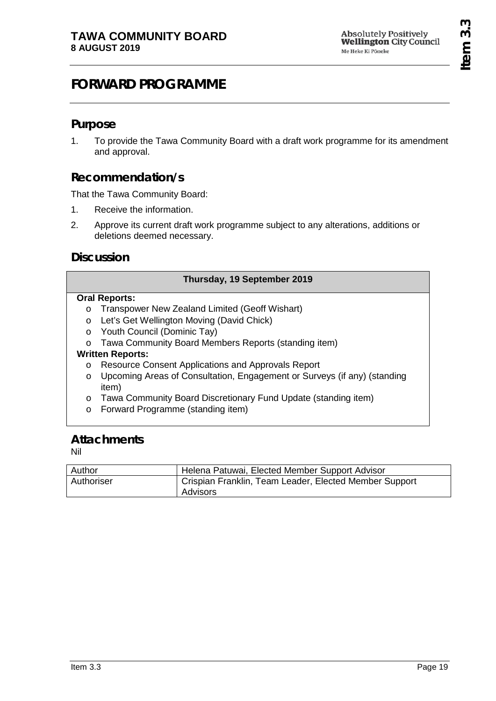# <span id="page-18-0"></span>**FORWARD PROGRAMME**

# **Purpose**

1. To provide the Tawa Community Board with a draft work programme for its amendment and approval.

# **Recommendation/s**

That the Tawa Community Board:

- 1. Receive the information.
- 2. Approve its current draft work programme subject to any alterations, additions or deletions deemed necessary.

# **Discussion**

| Thursday, 19 September 2019 |                                                                          |  |
|-----------------------------|--------------------------------------------------------------------------|--|
| <b>Oral Reports:</b>        |                                                                          |  |
| $\circ$                     | Transpower New Zealand Limited (Geoff Wishart)                           |  |
| $\circ$                     | Let's Get Wellington Moving (David Chick)                                |  |
| $\circ$                     | Youth Council (Dominic Tay)                                              |  |
| $\Omega$                    | Tawa Community Board Members Reports (standing item)                     |  |
| <b>Written Reports:</b>     |                                                                          |  |
| $\circ$                     | Resource Consent Applications and Approvals Report                       |  |
| $\circ$                     | Upcoming Areas of Consultation, Engagement or Surveys (if any) (standing |  |
|                             | item)                                                                    |  |
| $\circ$                     | Tawa Community Board Discretionary Fund Update (standing item)           |  |
| $\circ$                     | Forward Programme (standing item)                                        |  |
|                             |                                                                          |  |
| $A$ <sub>tta c</sub> hmonto |                                                                          |  |

## **Attachments**

Nil

| Author     | Helena Patuwai, Elected Member Support Advisor                     |
|------------|--------------------------------------------------------------------|
| Authoriser | Crispian Franklin, Team Leader, Elected Member Support<br>Advisors |